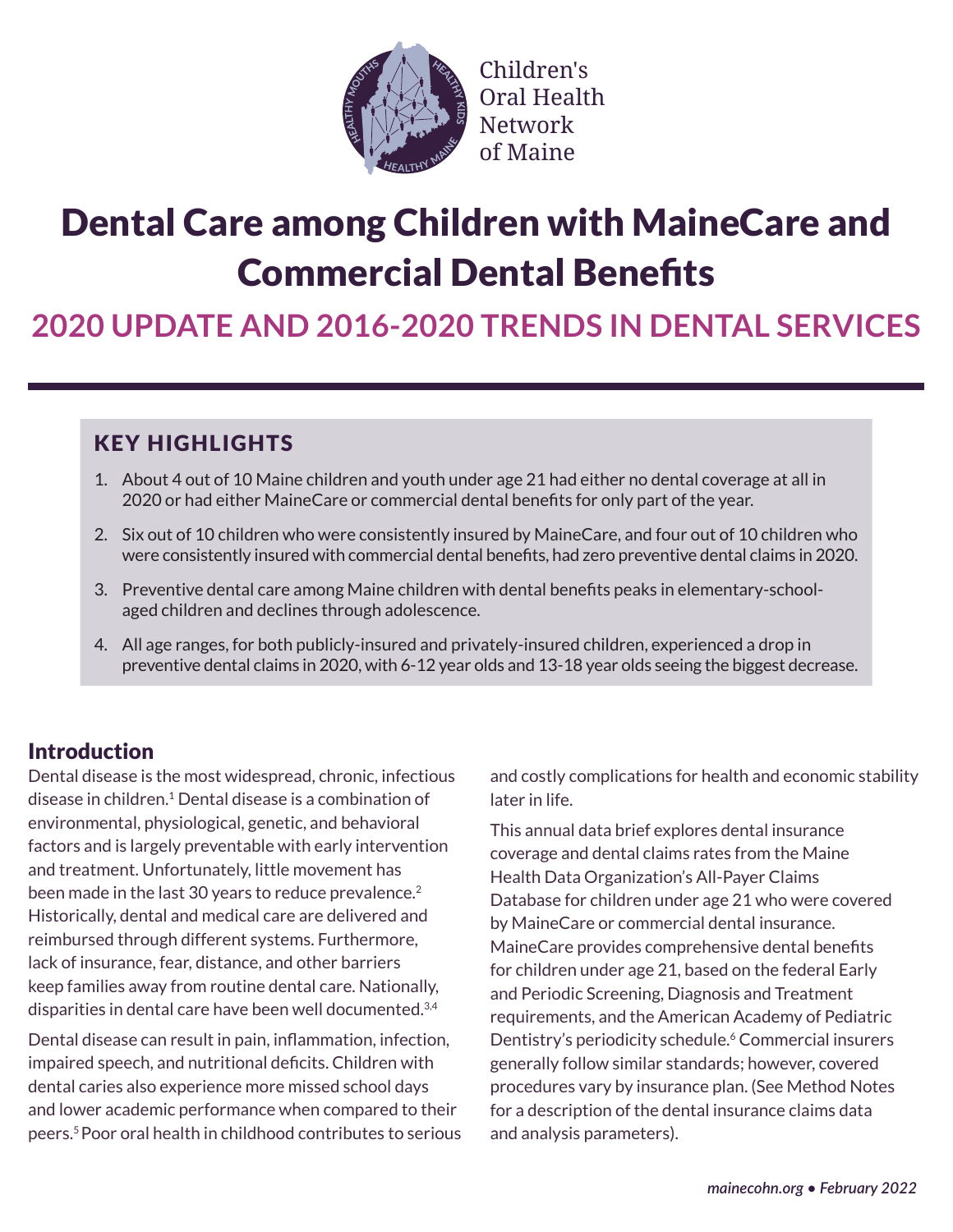

Children's Oral Health **Network** of Maine�

# Dental Care among Children with MaineCare and Commercial Dental Benefits

**2020 UPDATE AND 2016-2020 TRENDS IN DENTAL SERVICES**

# KEY HIGHLIGHTS

- 1. About 4 out of 10 Maine children and youth under age 21 had either no dental coverage at all in 2020 or had either MaineCare or commercial dental benefits for only part of the year.
- 2. Six out of 10 children who were consistently insured by MaineCare, and four out of 10 children who were consistently insured with commercial dental benefits, had zero preventive dental claims in 2020.
- 3. Preventive dental care among Maine children with dental benefits peaks in elementary-schoolaged children and declines through adolescence.
- 4. All age ranges, for both publicly-insured and privately-insured children, experienced a drop in preventive dental claims in 2020, with 6-12 year olds and 13-18 year olds seeing the biggest decrease.

## **Introduction**

Dental disease is the most widespread, chronic, infectious disease in children.1 Dental disease is a combination of environmental, physiological, genetic, and behavioral factors and is largely preventable with early intervention and treatment. Unfortunately, little movement has been made in the last 30 years to reduce prevalence.<sup>2</sup> Historically, dental and medical care are delivered and reimbursed through different systems. Furthermore, lack of insurance, fear, distance, and other barriers keep families away from routine dental care. Nationally, disparities in dental care have been well documented.3,4

Dental disease can result in pain, inflammation, infection, impaired speech, and nutritional deficits. Children with dental caries also experience more missed school days and lower academic performance when compared to their peers.5 Poor oral health in childhood contributes to serious and costly complications for health and economic stability later in life.

This annual data brief explores dental insurance coverage and dental claims rates from the Maine Health Data Organization's All-Payer Claims Database for children under age 21 who were covered by MaineCare or commercial dental insurance. MaineCare provides comprehensive dental benefits for children under age 21, based on the federal Early and Periodic Screening, Diagnosis and Treatment requirements, and the American Academy of Pediatric Dentistry's periodicity schedule.<sup>6</sup> Commercial insurers generally follow similar standards; however, covered procedures vary by insurance plan. (See Method Notes for a description of the dental insurance claims data and analysis parameters).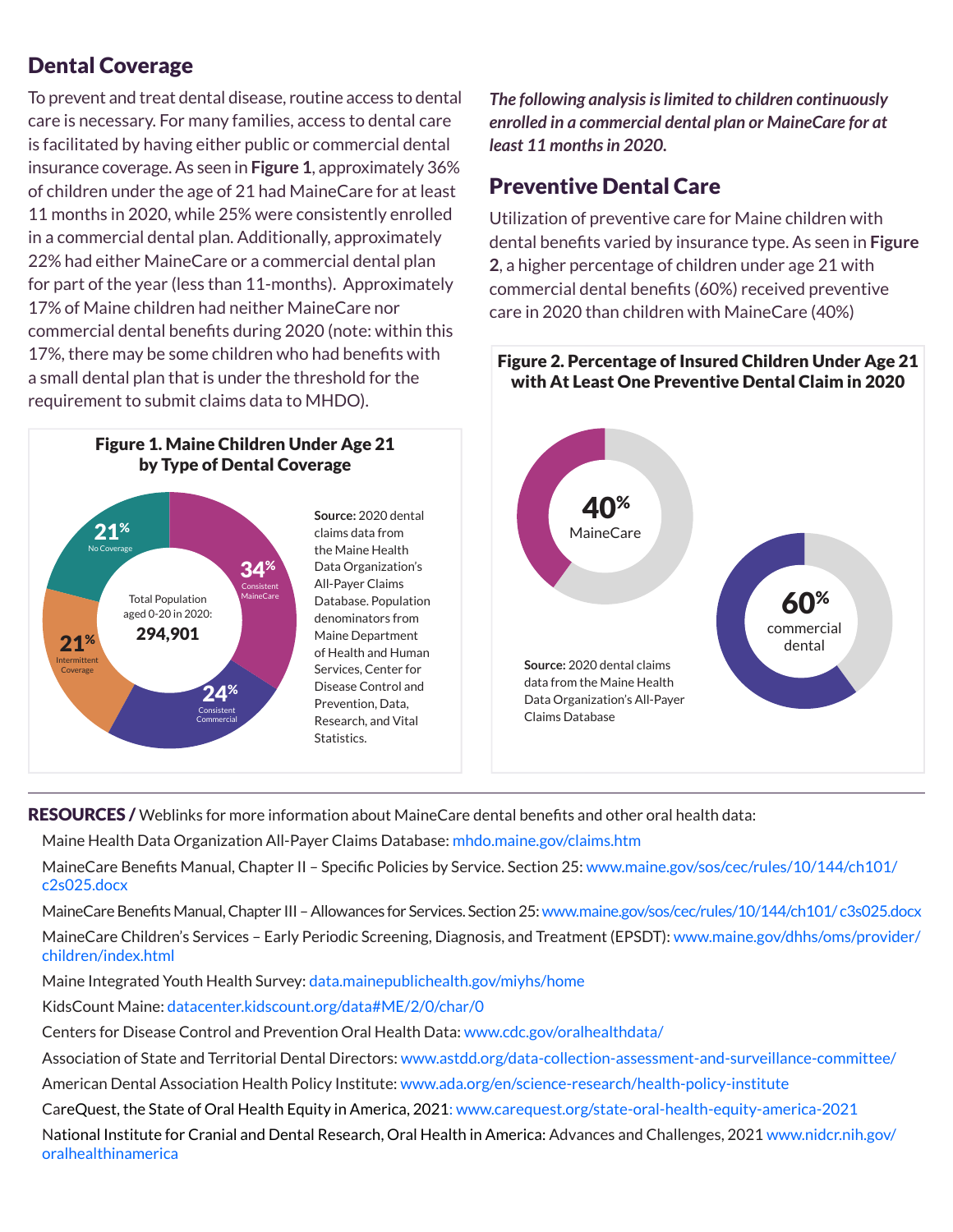## Dental Coverage

To prevent and treat dental disease, routine access to dental care is necessary. For many families, access to dental care is facilitated by having either public or commercial dental insurance coverage. As seen in **Figure 1**, approximately 36% of children under the age of 21 had MaineCare for at least 11 months in 2020, while 25% were consistently enrolled in a commercial dental plan. Additionally, approximately 22% had either MaineCare or a commercial dental plan for part of the year (less than 11-months). Approximately 17% of Maine children had neither MaineCare nor commercial dental benefits during 2020 (note: within this 17%, there may be some children who had benefits with a small dental plan that is under the threshold for the requirement to submit claims data to MHDO).



*The following analysis is limited to children continuously enrolled in a commercial dental plan or MaineCare for at least 11 months in 2020.*

### Preventive Dental Care

Utilization of preventive care for Maine children with dental benefits varied by insurance type. As seen in **Figure 2**, a higher percentage of children under age 21 with commercial dental benefits (60%) received preventive care in 2020 than children with MaineCare (40%)

### Figure 2. Percentage of Insured Children Under Age 21 with At Least One Preventive Dental Claim in 2020



RESOURCES / Weblinks for more information about MaineCare dental benefits and other oral health data:

Maine Health Data Organization All-Payer Claims Database: [mhdo.maine.gov/claims.htm](https://mhdo.maine.gov/claims.htm)

MaineCare Benefits Manual, Chapter II – Specific Policies by Service. Section 25: [www.maine.gov/sos/cec/rules/10/144/ch101/](https://www.maine.gov/sos/cec/rules/10/144/ch101/c2s025.docx)  [c2s025.docx](https://www.maine.gov/sos/cec/rules/10/144/ch101/c2s025.docx)

MaineCare Benefits Manual, Chapter III – Allowances for Services. Section 25: [www.maine.gov/sos/cec/rules/10/144/ch101/ c3s025.docx](https://www.maine.gov/sos/cec/rules/10/144/ch101/c3s025.docx) MaineCare Children's Services – Early Periodic Screening, Diagnosis, and Treatment (EPSDT): [www.maine.gov/dhhs/oms/provid](https://www.maine.gov/dhhs/oms/provider/children/index.html)[er/](https://www.maine.gov/dhhs/oms/provider/children/index.html) [children/index.html](https://www.maine.gov/dhhs/oms/provider/children/index.html)

Maine Integrated Youth Health Survey: [data.mainepublichealth.gov/miyhs/home](https://data.mainepublichealth.gov/miyhs/home)

KidsCount Maine: datacenter.kidscount.org/data#ME/2/0/char/0

Centers for Disease Control and Prevention Oral Health Data: [www.cdc.gov/oralhealthdata/](http://www.cdc.gov/oralhealthdata/)

Association of State and Territorial Dental Directors: [www.astdd.org/data-collection-assessment-and-surveillance-committee/](https://www.astdd.org/data-collection-assessment-and-surveillance-committee/)

American Dental Association Health Policy Institute: [www.ada.org/en/science-research/health-policy-institute](https://www.ada.org/en/science-research/health-policy-institute)

CareQuest, the State of Oral Health Equity in America, 2021: [www.carequest.org/state-oral-health-equity-america-2021](https://www.carequest.org/state-oral-health-equity-america-2021)

National Institute for Cranial and Dental Research, Oral Health in America: Advances and Challenges, 2021 [www.nidcr.nih.gov/](https://www.nidcr.nih.gov/oralhealthinamerica) [oralhealthinamerica](https://www.nidcr.nih.gov/oralhealthinamerica)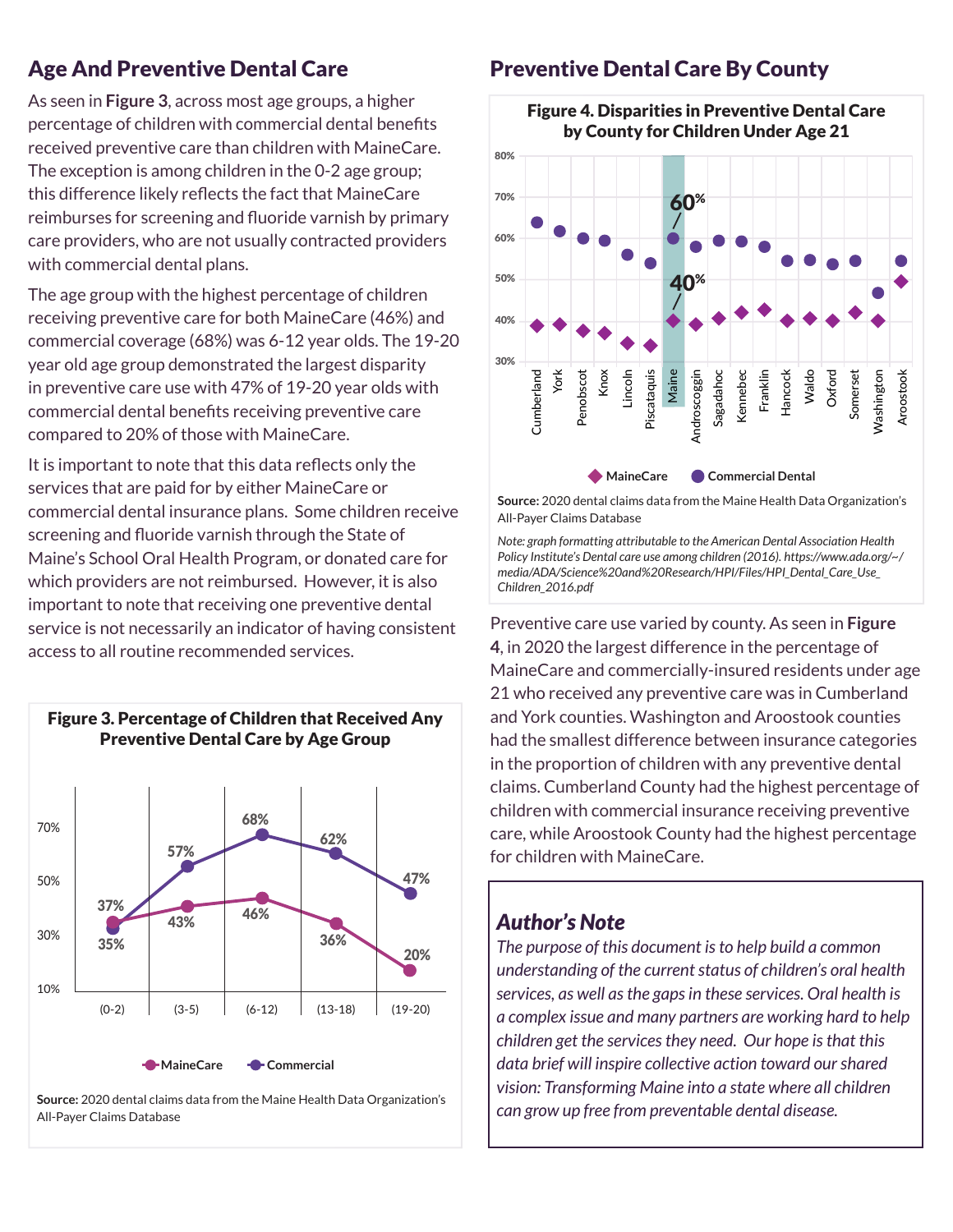As seen in **Figure 3**, across most age groups, a higher percentage of children with commercial dental benefits received preventive care than children with MaineCare. The exception is among children in the 0-2 age group; this difference likely reflects the fact that MaineCare reimburses for screening and fluoride varnish by primary care providers, who are not usually contracted providers with commercial dental plans.

The age group with the highest percentage of children receiving preventive care for both MaineCare (46%) and commercial coverage (68%) was 6-12 year olds. The 19-20 year old age group demonstrated the largest disparity in preventive care use with 47% of 19-20 year olds with commercial dental benefits receiving preventive care compared to 20% of those with MaineCare.

It is important to note that this data reflects only the services that are paid for by either MaineCare or commercial dental insurance plans. Some children receive screening and fluoride varnish through the State of Maine's School Oral Health Program, or donated care for which providers are not reimbursed. However, it is also important to note that receiving one preventive dental service is not necessarily an indicator of having consistent access to all routine recommended services.



Age And Preventive Dental Care **Preventive Dental Care By County** 



Figure 4. Disparities in Preventive Dental Care by County for Children Under Age 21

**Source:** 2020 dental claims data from the Maine Health Data Organization's All-Payer Claims Database

*Note: graph formatting attributable to the American Dental Association Health Policy Institute's Dental care use among children (2016). https://www.ada.org/~/ media/ADA/Science%20and%20Research/HPI/Files/HPI\_Dental\_Care\_Use\_ Children\_2016.pdf*

Preventive care use varied by county. As seen in **Figure 4**, in 2020 the largest difference in the percentage of MaineCare and commercially-insured residents under age 21 who received any preventive care was in Cumberland and York counties. Washington and Aroostook counties had the smallest difference between insurance categories in the proportion of children with any preventive dental claims. Cumberland County had the highest percentage of children with commercial insurance receiving preventive care, while Aroostook County had the highest percentage for children with MaineCare.

### *Author's Note*

*The purpose of this document is to help build a common understanding of the current status of children's oral health services, as well as the gaps in these services. Oral health is a complex issue and many partners are working hard to help children get the services they need. Our hope is that this data brief will inspire collective action toward our shared vision: Transforming Maine into a state where all children can grow up free from preventable dental disease.*

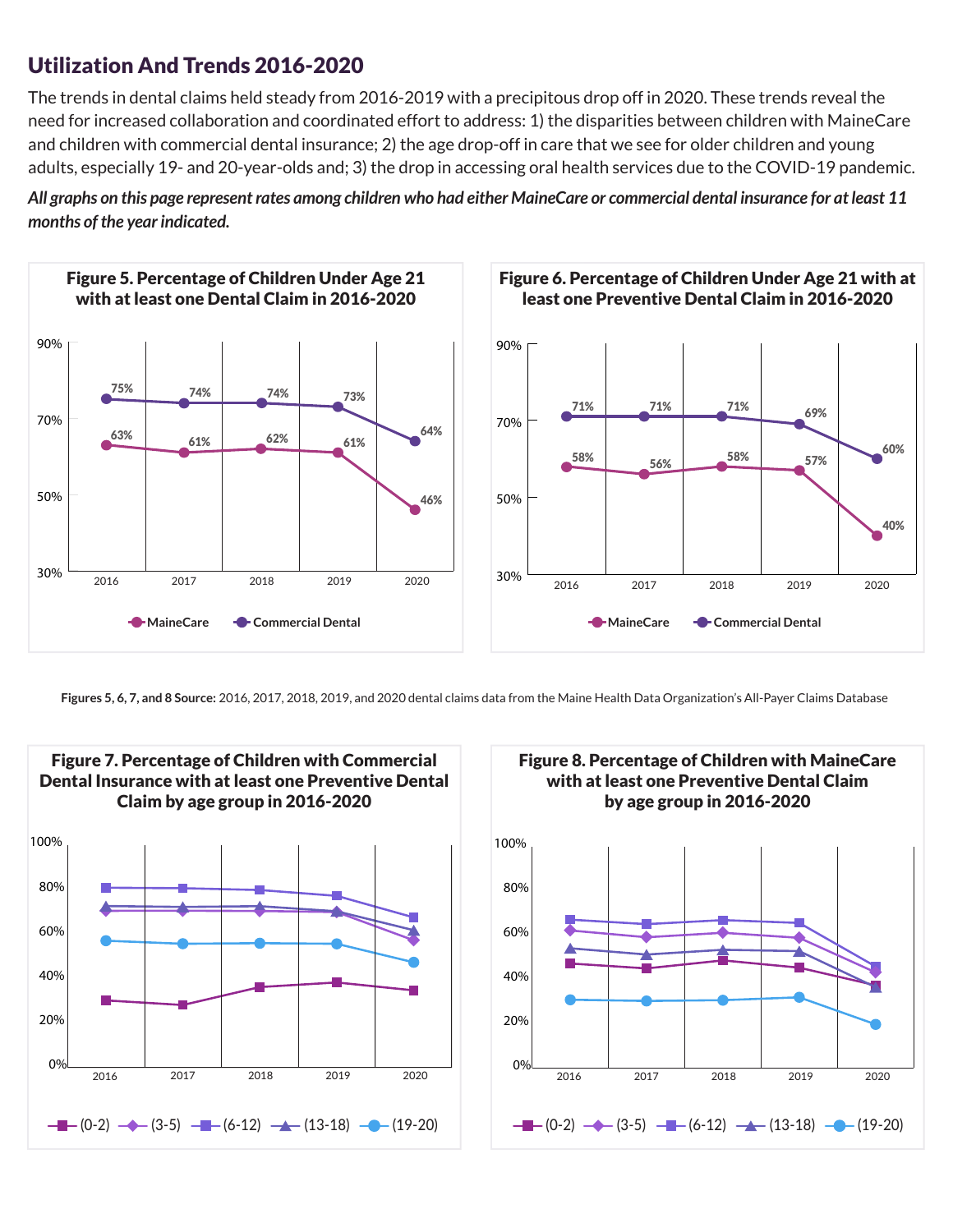### Utilization And Trends 2016-2020

The trends in dental claims held steady from 2016-2019 with a precipitous drop off in 2020. These trends reveal the need for increased collaboration and coordinated effort to address: 1) the disparities between children with MaineCare and children with commercial dental insurance; 2) the age drop-off in care that we see for older children and young adults, especially 19- and 20-year-olds and; 3) the drop in accessing oral health services due to the COVID-19 pandemic.





**Figures 5, 6, 7, and 8 Source:** 2016, 2017, 2018, 2019, and 2020 dental claims data from the Maine Health Data Organization's All-Payer Claims Database